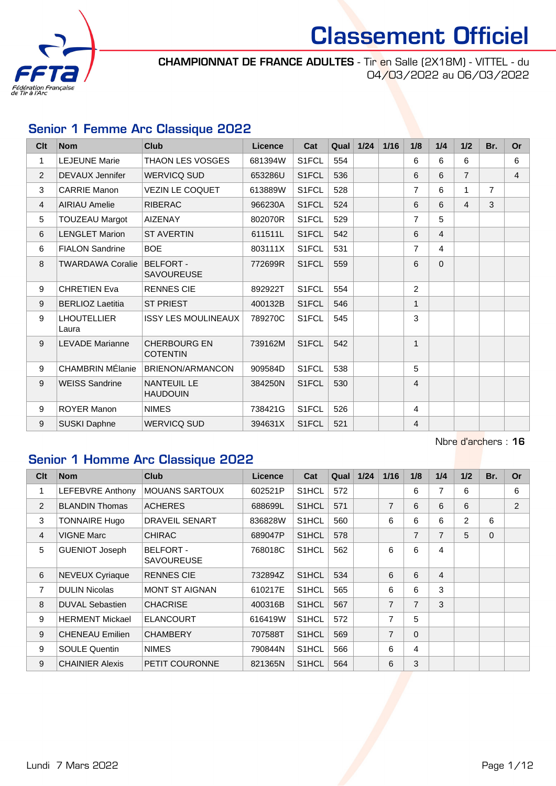

CHAMPIONNAT DE FRANCE ADULTES - Tir en Salle (2X18M) - VITTEL - du 04/03/2022 au 06/03/2022

### Senior 1 Femme Arc Classique 2022

| Clt            | <b>Nom</b>                  | Club                                   | <b>Licence</b> | Cat                | Qual | 1/24 | $1/16$ | 1/8            | 1/4      | 1/2            | Br.            | <b>Or</b>      |
|----------------|-----------------------------|----------------------------------------|----------------|--------------------|------|------|--------|----------------|----------|----------------|----------------|----------------|
| 1              | <b>LEJEUNE Marie</b>        | THAON LES VOSGES                       | 681394W        | S1FCL              | 554  |      |        | 6              | 6        | 6              |                | 6              |
| 2              | <b>DEVAUX Jennifer</b>      | <b>WERVICQ SUD</b>                     | 653286U        | S1FCL              | 536  |      |        | 6              | 6        | $\overline{7}$ |                | $\overline{4}$ |
| 3              | <b>CARRIE Manon</b>         | VEZIN LE COQUET                        | 613889W        | S1FCL              | 528  |      |        | $\overline{7}$ | 6        | 1              | $\overline{7}$ |                |
| $\overline{4}$ | <b>AIRIAU Amelie</b>        | <b>RIBERAC</b>                         | 966230A        | S1FCL              | 524  |      |        | 6              | 6        | $\overline{4}$ | 3              |                |
| 5              | <b>TOUZEAU Margot</b>       | <b>AIZENAY</b>                         | 802070R        | S1FCL              | 529  |      |        | 7              | 5        |                |                |                |
| 6              | <b>LENGLET Marion</b>       | <b>ST AVERTIN</b>                      | 611511L        | S1FCL              | 542  |      |        | 6              | 4        |                |                |                |
| 6              | <b>FIALON Sandrine</b>      | <b>BOE</b>                             | 803111X        | S1FCL              | 531  |      |        | $\overline{7}$ | 4        |                |                |                |
| 8              | <b>TWARDAWA Coralie</b>     | <b>BELFORT -</b><br><b>SAVOUREUSE</b>  | 772699R        | S1FCL              | 559  |      |        | 6              | $\Omega$ |                |                |                |
| 9              | <b>CHRETIEN Eva</b>         | <b>RENNES CIE</b>                      | 892922T        | S <sub>1</sub> FCL | 554  |      |        | 2              |          |                |                |                |
| 9              | <b>BERLIOZ Laetitia</b>     | <b>ST PRIEST</b>                       | 400132B        | S1FCL              | 546  |      |        | 1              |          |                |                |                |
| 9              | <b>LHOUTELLIER</b><br>Laura | <b>ISSY LES MOULINEAUX</b>             | 789270C        | S1FCL              | 545  |      |        | 3              |          |                |                |                |
| 9              | <b>LEVADE Marianne</b>      | <b>CHERBOURG EN</b><br><b>COTENTIN</b> | 739162M        | S <sub>1</sub> FCL | 542  |      |        | 1              |          |                |                |                |
| 9              | <b>CHAMBRIN MÉlanie</b>     | BRIENON/ARMANCON                       | 909584D        | S1FCL              | 538  |      |        | 5              |          |                |                |                |
| 9              | <b>WEISS Sandrine</b>       | <b>NANTEUIL LE</b><br><b>HAUDOUIN</b>  | 384250N        | S <sub>1</sub> FCL | 530  |      |        | 4              |          |                |                |                |
| 9              | <b>ROYER Manon</b>          | <b>NIMES</b>                           | 738421G        | S1FCL              | 526  |      |        | 4              |          |                |                |                |
| 9              | <b>SUSKI Daphne</b>         | <b>WERVICQ SUD</b>                     | 394631X        | S <sub>1</sub> FCL | 521  |      |        | 4              |          |                |                |                |

#### Senior 1 Homme Arc Classique 2022

| Clt            | <b>Nom</b>             | <b>Club</b>                           | <b>Licence</b> | Cat                | Qual | 1/24 | 1/16           | 1/8            | 1/4            | 1/2            | Br.      | <b>Or</b>      |
|----------------|------------------------|---------------------------------------|----------------|--------------------|------|------|----------------|----------------|----------------|----------------|----------|----------------|
| 1              | LEFEBVRE Anthony       | <b>MOUANS SARTOUX</b>                 | 602521P        | S <sub>1</sub> HCL | 572  |      |                | 6              | $\overline{7}$ | 6              |          | 6              |
| $\overline{2}$ | <b>BLANDIN Thomas</b>  | <b>ACHERES</b>                        | 688699L        | S <sub>1</sub> HCL | 571  |      | $\overline{7}$ | 6              | 6              | 6              |          | $\overline{2}$ |
| 3              | <b>TONNAIRE Hugo</b>   | <b>DRAVEIL SENART</b>                 | 836828W        | S <sub>1</sub> HCL | 560  |      | 6              | 6              | 6              | $\overline{2}$ | 6        |                |
| 4              | <b>VIGNE Marc</b>      | <b>CHIRAC</b>                         | 689047P        | S <sub>1</sub> HCL | 578  |      |                | $\overline{7}$ | $\overline{7}$ | 5              | $\Omega$ |                |
| 5              | <b>GUENIOT Joseph</b>  | <b>BELFORT -</b><br><b>SAVOUREUSE</b> | 768018C        | S <sub>1</sub> HCL | 562  |      | 6              | 6              | 4              |                |          |                |
| 6              | <b>NEVEUX Cyriaque</b> | <b>RENNES CIE</b>                     | 732894Z        | S <sub>1</sub> HCL | 534  |      | 6              | 6              | 4              |                |          |                |
| 7              | <b>DULIN Nicolas</b>   | <b>MONT ST AIGNAN</b>                 | 610217E        | S1HCL              | 565  |      | 6              | 6              | 3              |                |          |                |
| 8              | <b>DUVAL Sebastien</b> | <b>CHACRISE</b>                       | 400316B        | S <sub>1</sub> HCL | 567  |      | $\overline{7}$ | $\overline{7}$ | 3              |                |          |                |
| 9              | <b>HERMENT Mickael</b> | <b>ELANCOURT</b>                      | 616419W        | S <sub>1</sub> HCL | 572  |      | 7              | 5              |                |                |          |                |
| 9              | <b>CHENEAU Emilien</b> | <b>CHAMBERY</b>                       | 707588T        | S <sub>1</sub> HCL | 569  |      | $\overline{7}$ | $\Omega$       |                |                |          |                |
| 9              | <b>SOULE Quentin</b>   | <b>NIMES</b>                          | 790844N        | S <sub>1</sub> HCL | 566  |      | 6              | 4              |                |                |          |                |
| 9              | <b>CHAINIER Alexis</b> | <b>PETIT COURONNE</b>                 | 821365N        | S <sub>1</sub> HCL | 564  |      | 6              | 3              |                |                |          |                |

Nbre d'archers : 16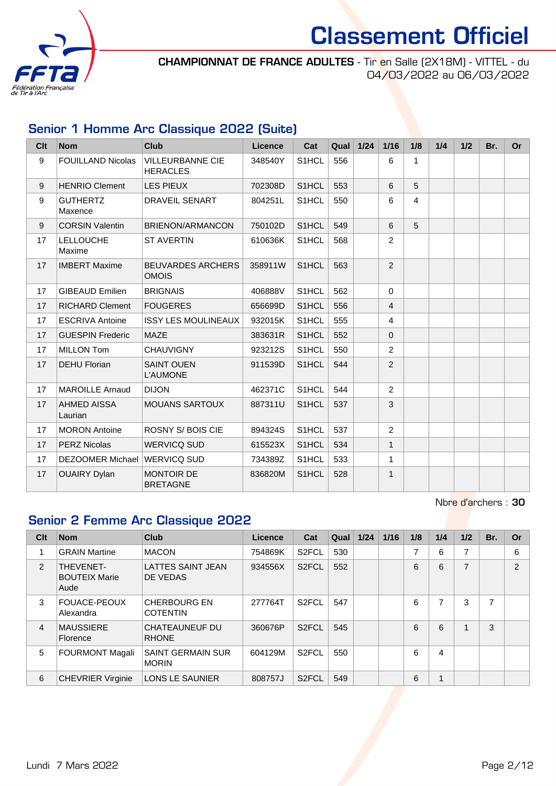

CHAMPIONNAT DE FRANCE ADULTES - Tir en Salle (2X18M) - VITTEL - du 04/03/2022 au 06/03/2022

#### Senior 1 Homme Arc Classique 2022 (Suite)

| Clt | <b>Nom</b>                    | <b>Club</b>                                | Licence | Cat                | Qual | $1/24$ | 1/16           | 1/8 | 1/4 | 1/2 | Br. | Or |
|-----|-------------------------------|--------------------------------------------|---------|--------------------|------|--------|----------------|-----|-----|-----|-----|----|
| 9   | <b>FOUILLAND Nicolas</b>      | <b>VILLEURBANNE CIE</b><br><b>HERACLES</b> | 348540Y | S <sub>1</sub> HCL | 556  |        | 6              | 1   |     |     |     |    |
| 9   | <b>HENRIO Clement</b>         | <b>LES PIEUX</b>                           | 702308D | S1HCL              | 553  |        | 6              | 5   |     |     |     |    |
| 9   | <b>GUTHERTZ</b><br>Maxence    | <b>DRAVEIL SENART</b>                      | 804251L | S1HCL              | 550  |        | 6              | 4   |     |     |     |    |
| 9   | <b>CORSIN Valentin</b>        | <b>BRIENON/ARMANCON</b>                    | 750102D | S1HCL              | 549  |        | 6              | 5   |     |     |     |    |
| 17  | <b>LELLOUCHE</b><br>Maxime    | <b>ST AVERTIN</b>                          | 610636K | S1HCL              | 568  |        | $\overline{2}$ |     |     |     |     |    |
| 17  | <b>IMBERT Maxime</b>          | <b>BEUVARDES ARCHERS</b><br><b>OMOIS</b>   | 358911W | S1HCL              | 563  |        | 2              |     |     |     |     |    |
| 17  | <b>GIBEAUD Emilien</b>        | <b>BRIGNAIS</b>                            | 406888V | S1HCL              | 562  |        | $\Omega$       |     |     |     |     |    |
| 17  | <b>RICHARD Clement</b>        | <b>FOUGERES</b>                            | 656699D | S1HCL              | 556  |        | 4              |     |     |     |     |    |
| 17  | <b>ESCRIVA Antoine</b>        | <b>ISSY LES MOULINEAUX</b>                 | 932015K | S <sub>1</sub> HCL | 555  |        | 4              |     |     |     |     |    |
| 17  | <b>GUESPIN Frederic</b>       | <b>MAZE</b>                                | 383631R | S1HCL              | 552  |        | 0              |     |     |     |     |    |
| 17  | <b>MILLON Tom</b>             | <b>CHAUVIGNY</b>                           | 923212S | S1HCL              | 550  |        | $\overline{2}$ |     |     |     |     |    |
| 17  | <b>DEHU Florian</b>           | <b>SAINT OUEN</b><br><b>L'AUMONE</b>       | 911539D | S1HCL              | 544  |        | $\overline{2}$ |     |     |     |     |    |
| 17  | <b>MAROILLE Arnaud</b>        | <b>DIJON</b>                               | 462371C | S <sub>1</sub> HCL | 544  |        | 2              |     |     |     |     |    |
| 17  | <b>AHMED AISSA</b><br>Laurian | <b>MOUANS SARTOUX</b>                      | 887311U | S <sub>1</sub> HCL | 537  |        | 3              |     |     |     |     |    |
| 17  | <b>MORON Antoine</b>          | <b>ROSNY S/BOIS CIE</b>                    | 894324S | S1HCL              | 537  |        | 2              |     |     |     |     |    |
| 17  | <b>PERZ Nicolas</b>           | <b>WERVICQ SUD</b>                         | 615523X | S1HCL              | 534  |        | $\mathbf{1}$   |     |     |     |     |    |
| 17  | <b>DEZOOMER Michael</b>       | <b>WERVICQ SUD</b>                         | 734389Z | S1HCL              | 533  |        | 1              |     |     |     |     |    |
| 17  | <b>OUAIRY Dylan</b>           | <b>MONTOIR DE</b><br><b>BRETAGNE</b>       | 836820M | S1HCL              | 528  |        | $\mathbf{1}$   |     |     |     |     |    |

Nbre d'archers : 30

#### Senior 2 Femme Arc Classique 2022

| Clt | <b>Nom</b>                                | Club                                     | Licence | Cat                | Qual | 1/24 | 1/16 | 1/8            | 1/4                     | 1/2 | Br. | Or            |
|-----|-------------------------------------------|------------------------------------------|---------|--------------------|------|------|------|----------------|-------------------------|-----|-----|---------------|
|     | <b>GRAIN Martine</b>                      | <b>MACON</b>                             | 754869K | S <sub>2</sub> FCL | 530  |      |      | $\overline{ }$ | 6                       | 7   |     | 6             |
| 2   | THEVENET-<br><b>BOUTEIX Marie</b><br>Aude | LATTES SAINT JEAN<br>DE VEDAS            | 934556X | S <sub>2</sub> FCL | 552  |      |      | 6              | 6                       | 7   |     | $\mathcal{P}$ |
| 3   | <b>FOUACE-PEOUX</b><br>Alexandra          | <b>CHERBOURG EN</b><br><b>COTENTIN</b>   | 277764T | S <sub>2</sub> FCL | 547  |      |      | 6              | ⇁                       | 3   | 7   |               |
| 4   | <b>MAUSSIERE</b><br>Florence              | <b>CHATEAUNEUF DU</b><br><b>RHONE</b>    | 360676P | S <sub>2</sub> FCL | 545  |      |      | 6              | 6                       |     | 3   |               |
| 5   | <b>FOURMONT Magali</b>                    | <b>SAINT GERMAIN SUR</b><br><b>MORIN</b> | 604129M | S <sub>2</sub> FCL | 550  |      |      | 6              | 4                       |     |     |               |
| 6   | <b>CHEVRIER Virginie</b>                  | LONS LE SAUNIER                          | 808757J | S <sub>2</sub> FCL | 549  |      |      | 6              | $\overline{\mathbf{A}}$ |     |     |               |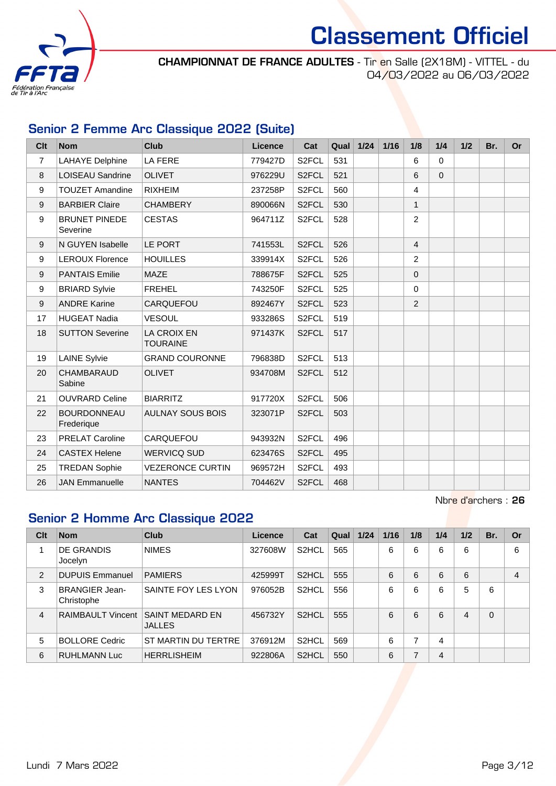

CHAMPIONNAT DE FRANCE ADULTES - Tir en Salle (2X18M) - VITTEL - du 04/03/2022 au 06/03/2022

#### Senior 2 Femme Arc Classique 2022 (Suite)

| <b>Clt</b>     | <b>Nom</b>                       | <b>Club</b>                           | Licence | Cat                | Qual | $1/24$ | $1/16$ | 1/8            | 1/4      | 1/2 | Br. | Or |
|----------------|----------------------------------|---------------------------------------|---------|--------------------|------|--------|--------|----------------|----------|-----|-----|----|
| $\overline{7}$ | <b>LAHAYE Delphine</b>           | <b>LA FERE</b>                        | 779427D | S <sub>2</sub> FCL | 531  |        |        | 6              | $\Omega$ |     |     |    |
| 8              | <b>LOISEAU Sandrine</b>          | <b>OLIVET</b>                         | 976229U | S2FCL              | 521  |        |        | 6              | $\Omega$ |     |     |    |
| 9              | <b>TOUZET Amandine</b>           | <b>RIXHEIM</b>                        | 237258P | S <sub>2</sub> FCL | 560  |        |        | $\overline{4}$ |          |     |     |    |
| 9              | <b>BARBIER Claire</b>            | <b>CHAMBERY</b>                       | 890066N | S2FCL              | 530  |        |        | $\mathbf{1}$   |          |     |     |    |
| 9              | <b>BRUNET PINEDE</b><br>Severine | <b>CESTAS</b>                         | 964711Z | S2FCL              | 528  |        |        | $\overline{c}$ |          |     |     |    |
| 9              | N GUYEN Isabelle                 | LE PORT                               | 741553L | S <sub>2</sub> FCL | 526  |        |        | $\overline{4}$ |          |     |     |    |
| 9              | <b>LEROUX Florence</b>           | <b>HOUILLES</b>                       | 339914X | S2FCL              | 526  |        |        | $\overline{2}$ |          |     |     |    |
| 9              | <b>PANTAIS Emilie</b>            | <b>MAZE</b>                           | 788675F | S2FCL              | 525  |        |        | $\mathbf{0}$   |          |     |     |    |
| 9              | <b>BRIARD Sylvie</b>             | <b>FREHEL</b>                         | 743250F | S <sub>2</sub> FCL | 525  |        |        | $\mathbf 0$    |          |     |     |    |
| 9              | <b>ANDRE Karine</b>              | CARQUEFOU                             | 892467Y | S <sub>2</sub> FCL | 523  |        |        | 2              |          |     |     |    |
| 17             | <b>HUGEAT Nadia</b>              | <b>VESOUL</b>                         | 933286S | S2FCL              | 519  |        |        |                |          |     |     |    |
| 18             | <b>SUTTON Severine</b>           | <b>LA CROIX EN</b><br><b>TOURAINE</b> | 971437K | S <sub>2</sub> FCL | 517  |        |        |                |          |     |     |    |
| 19             | <b>LAINE Sylvie</b>              | <b>GRAND COURONNE</b>                 | 796838D | S <sub>2</sub> FCL | 513  |        |        |                |          |     |     |    |
| 20             | CHAMBARAUD<br>Sabine             | <b>OLIVET</b>                         | 934708M | S <sub>2</sub> FCL | 512  |        |        |                |          |     |     |    |
| 21             | <b>OUVRARD Celine</b>            | <b>BIARRITZ</b>                       | 917720X | S <sub>2</sub> FCL | 506  |        |        |                |          |     |     |    |
| 22             | <b>BOURDONNEAU</b><br>Frederique | <b>AULNAY SOUS BOIS</b>               | 323071P | S <sub>2</sub> FCL | 503  |        |        |                |          |     |     |    |
| 23             | <b>PRELAT Caroline</b>           | CARQUEFOU                             | 943932N | S2FCL              | 496  |        |        |                |          |     |     |    |
| 24             | <b>CASTEX Helene</b>             | <b>WERVICQ SUD</b>                    | 623476S | S2FCL              | 495  |        |        |                |          |     |     |    |
| 25             | <b>TREDAN Sophie</b>             | <b>VEZERONCE CURTIN</b>               | 969572H | S2FCL              | 493  |        |        |                |          |     |     |    |
| 26             | <b>JAN Emmanuelle</b>            | <b>NANTES</b>                         | 704462V | S <sub>2</sub> FCL | 468  |        |        |                |          |     |     |    |

Nbre d'archers : 26

### Senior 2 Homme Arc Classique 2022

| Clt            | <b>Nom</b>                          | Club                                    | Licence | Cat                | Qual | 1/24 | 1/16 | 1/8 | 1/4 | 1/2 | Br.      | Or |
|----------------|-------------------------------------|-----------------------------------------|---------|--------------------|------|------|------|-----|-----|-----|----------|----|
|                | <b>DE GRANDIS</b><br>Jocelyn        | <b>NIMES</b>                            | 327608W | S <sub>2</sub> HCL | 565  |      | 6    | 6   | 6   | 6   |          | 6  |
| 2              | <b>DUPUIS Emmanuel</b>              | <b>PAMIERS</b>                          | 425999T | S <sub>2</sub> HCL | 555  |      | 6    | 6   | 6   | 6   |          | 4  |
| 3              | <b>BRANGIER Jean-</b><br>Christophe | SAINTE FOY LES LYON                     | 976052B | S <sub>2</sub> HCL | 556  |      | 6    | 6   | 6   | 5   | 6        |    |
| $\overline{4}$ | RAIMBAULT Vincent                   | <b>SAINT MEDARD EN</b><br><b>JALLES</b> | 456732Y | S <sub>2</sub> HCL | 555  |      | 6    | 6   | 6   | 4   | $\Omega$ |    |
| 5              | <b>BOLLORE Cedric</b>               | ST MARTIN DU TERTRE                     | 376912M | S <sub>2</sub> HCL | 569  |      | 6    |     | 4   |     |          |    |
| 6              | <b>RUHLMANN Luc</b>                 | <b>HERRLISHEIM</b>                      | 922806A | S <sub>2</sub> HCL | 550  |      | 6    | 7   | 4   |     |          |    |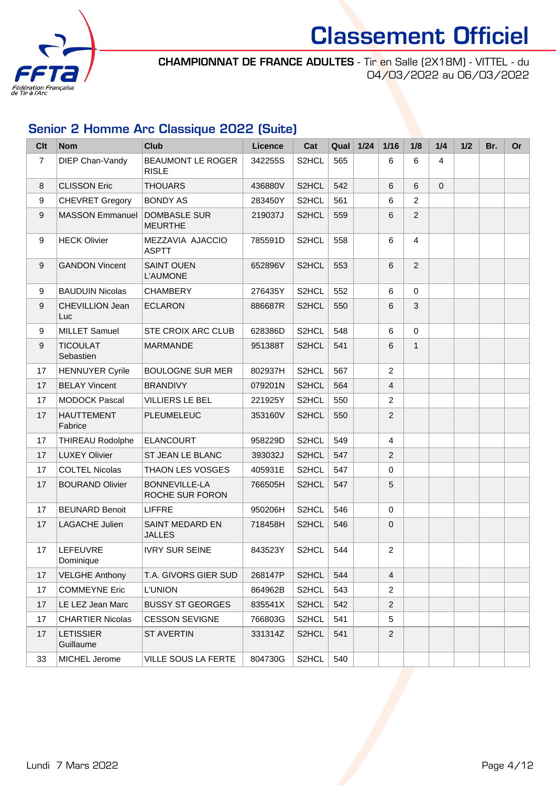

CHAMPIONNAT DE FRANCE ADULTES - Tir en Salle (2X18M) - VITTEL - du 04/03/2022 au 06/03/2022

#### Senior 2 Homme Arc Classique 2022 (Suite)

| <b>Clt</b>       | <b>Nom</b>                    | <b>Club</b>                             | Licence | Cat                | Qual | $1/24$ | 1/16           | 1/8            | 1/4      | 1/2 | Br. | Or |
|------------------|-------------------------------|-----------------------------------------|---------|--------------------|------|--------|----------------|----------------|----------|-----|-----|----|
| $\overline{7}$   | DIEP Chan-Vandy               | BEAUMONT LE ROGER<br><b>RISLE</b>       | 342255S | S <sub>2</sub> HCL | 565  |        | 6              | 6              | 4        |     |     |    |
| 8                | <b>CLISSON Eric</b>           | <b>THOUARS</b>                          | 436880V | S2HCL              | 542  |        | 6              | 6              | $\Omega$ |     |     |    |
| 9                | <b>CHEVRET Gregory</b>        | <b>BONDY AS</b>                         | 283450Y | S <sub>2</sub> HCL | 561  |        | 6              | $\overline{2}$ |          |     |     |    |
| $\boldsymbol{9}$ | <b>MASSON Emmanuel</b>        | <b>DOMBASLE SUR</b><br><b>MEURTHE</b>   | 219037J | S <sub>2</sub> HCL | 559  |        | 6              | $\overline{2}$ |          |     |     |    |
| 9                | <b>HECK Olivier</b>           | MEZZAVIA AJACCIO<br><b>ASPTT</b>        | 785591D | S <sub>2</sub> HCL | 558  |        | 6              | 4              |          |     |     |    |
| 9                | <b>GANDON Vincent</b>         | <b>SAINT OUEN</b><br><b>L'AUMONE</b>    | 652896V | S <sub>2</sub> HCL | 553  |        | 6              | $\overline{2}$ |          |     |     |    |
| 9                | <b>BAUDUIN Nicolas</b>        | <b>CHAMBERY</b>                         | 276435Y | S2HCL              | 552  |        | 6              | 0              |          |     |     |    |
| 9                | <b>CHEVILLION Jean</b><br>Luc | <b>ECLARON</b>                          | 886687R | S <sub>2</sub> HCL | 550  |        | 6              | 3              |          |     |     |    |
| 9                | <b>MILLET Samuel</b>          | STE CROIX ARC CLUB                      | 628386D | S2HCL              | 548  |        | 6              | 0              |          |     |     |    |
| 9                | <b>TICOULAT</b><br>Sebastien  | <b>MARMANDE</b>                         | 951388T | S <sub>2</sub> HCL | 541  |        | 6              | 1              |          |     |     |    |
| 17               | <b>HENNUYER Cyrile</b>        | <b>BOULOGNE SUR MER</b>                 | 802937H | S2HCL              | 567  |        | $\overline{2}$ |                |          |     |     |    |
| 17               | <b>BELAY Vincent</b>          | <b>BRANDIVY</b>                         | 079201N | S <sub>2</sub> HCL | 564  |        | 4              |                |          |     |     |    |
| 17               | <b>MODOCK Pascal</b>          | <b>VILLIERS LE BEL</b>                  | 221925Y | S <sub>2</sub> HCL | 550  |        | $\overline{2}$ |                |          |     |     |    |
| 17               | <b>HAUTTEMENT</b><br>Fabrice  | <b>PLEUMELEUC</b>                       | 353160V | S <sub>2</sub> HCL | 550  |        | $\overline{2}$ |                |          |     |     |    |
| 17               | <b>THIREAU Rodolphe</b>       | <b>ELANCOURT</b>                        | 958229D | S <sub>2</sub> HCL | 549  |        | 4              |                |          |     |     |    |
| 17               | <b>LUXEY Olivier</b>          | <b>ST JEAN LE BLANC</b>                 | 393032J | S <sub>2</sub> HCL | 547  |        | $\overline{2}$ |                |          |     |     |    |
| 17               | <b>COLTEL Nicolas</b>         | THAON LES VOSGES                        | 405931E | S2HCL              | 547  |        | 0              |                |          |     |     |    |
| 17               | <b>BOURAND Olivier</b>        | <b>BONNEVILLE-LA</b><br>ROCHE SUR FORON | 766505H | S <sub>2</sub> HCL | 547  |        | 5              |                |          |     |     |    |
| 17               | <b>BEUNARD Benoit</b>         | <b>LIFFRE</b>                           | 950206H | S2HCL              | 546  |        | $\mathbf 0$    |                |          |     |     |    |
| 17               | LAGACHE Julien                | SAINT MEDARD EN<br><b>JALLES</b>        | 718458H | S <sub>2</sub> HCL | 546  |        | 0              |                |          |     |     |    |
| 17               | <b>LEFEUVRE</b><br>Dominique  | <b>IVRY SUR SEINE</b>                   | 843523Y | S2HCL              | 544  |        | 2              |                |          |     |     |    |
| 17               | <b>VELGHE Anthony</b>         | T.A. GIVORS GIER SUD                    | 268147P | S2HCL              | 544  |        | 4              |                |          |     |     |    |
| 17               | <b>COMMEYNE Eric</b>          | <b>L'UNION</b>                          | 864962B | S2HCL              | 543  |        | $\overline{c}$ |                |          |     |     |    |
| 17               | LE LEZ Jean Marc              | <b>BUSSY ST GEORGES</b>                 | 835541X | S2HCL              | 542  |        | $\overline{2}$ |                |          |     |     |    |
| 17               | <b>CHARTIER Nicolas</b>       | <b>CESSON SEVIGNE</b>                   | 766803G | S2HCL              | 541  |        | 5              |                |          |     |     |    |
| 17               | <b>LETISSIER</b><br>Guillaume | <b>ST AVERTIN</b>                       | 331314Z | S2HCL              | 541  |        | $\overline{c}$ |                |          |     |     |    |
| 33               | MICHEL Jerome                 | VILLE SOUS LA FERTE                     | 804730G | S2HCL              | 540  |        |                |                |          |     |     |    |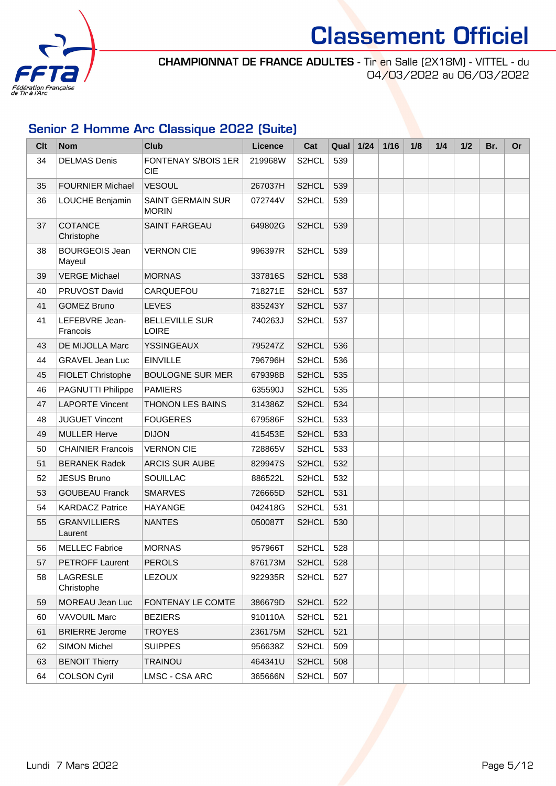

CHAMPIONNAT DE FRANCE ADULTES - Tir en Salle (2X18M) - VITTEL - du 04/03/2022 au 06/03/2022

### Senior 2 Homme Arc Classique 2022 (Suite)

| <b>Clt</b> | <b>Nom</b>                      | <b>Club</b>                           | Licence | Cat                | Qual | $1/24$ | 1/16 | 1/8 | 1/4 | 1/2 | Br. | <b>Or</b> |
|------------|---------------------------------|---------------------------------------|---------|--------------------|------|--------|------|-----|-----|-----|-----|-----------|
| 34         | <b>DELMAS Denis</b>             | FONTENAY S/BOIS 1ER<br><b>CIE</b>     | 219968W | S2HCL              | 539  |        |      |     |     |     |     |           |
| 35         | <b>FOURNIER Michael</b>         | <b>VESOUL</b>                         | 267037H | S2HCL              | 539  |        |      |     |     |     |     |           |
| 36         | LOUCHE Benjamin                 | SAINT GERMAIN SUR<br><b>MORIN</b>     | 072744V | S2HCL              | 539  |        |      |     |     |     |     |           |
| 37         | <b>COTANCE</b><br>Christophe    | <b>SAINT FARGEAU</b>                  | 649802G | S <sub>2</sub> HCL | 539  |        |      |     |     |     |     |           |
| 38         | <b>BOURGEOIS Jean</b><br>Mayeul | <b>VERNON CIE</b>                     | 996397R | S2HCL              | 539  |        |      |     |     |     |     |           |
| 39         | <b>VERGE Michael</b>            | <b>MORNAS</b>                         | 337816S | S2HCL              | 538  |        |      |     |     |     |     |           |
| 40         | PRUVOST David                   | CARQUEFOU                             | 718271E | S2HCL              | 537  |        |      |     |     |     |     |           |
| 41         | <b>GOMEZ Bruno</b>              | <b>LEVES</b>                          | 835243Y | S <sub>2</sub> HCL | 537  |        |      |     |     |     |     |           |
| 41         | LEFEBVRE Jean-<br>Francois      | <b>BELLEVILLE SUR</b><br><b>LOIRE</b> | 740263J | S <sub>2</sub> HCL | 537  |        |      |     |     |     |     |           |
| 43         | DE MIJOLLA Marc                 | <b>YSSINGEAUX</b>                     | 795247Z | S2HCL              | 536  |        |      |     |     |     |     |           |
| 44         | <b>GRAVEL Jean Luc</b>          | <b>EINVILLE</b>                       | 796796H | S <sub>2</sub> HCL | 536  |        |      |     |     |     |     |           |
| 45         | FIOLET Christophe               | <b>BOULOGNE SUR MER</b>               | 679398B | S <sub>2</sub> HCL | 535  |        |      |     |     |     |     |           |
| 46         | PAGNUTTI Philippe               | <b>PAMIERS</b>                        | 635590J | S <sub>2</sub> HCL | 535  |        |      |     |     |     |     |           |
| 47         | <b>LAPORTE Vincent</b>          | <b>THONON LES BAINS</b>               | 314386Z | S2HCL              | 534  |        |      |     |     |     |     |           |
| 48         | <b>JUGUET Vincent</b>           | <b>FOUGERES</b>                       | 679586F | S <sub>2</sub> HCL | 533  |        |      |     |     |     |     |           |
| 49         | <b>MULLER Herve</b>             | <b>DIJON</b>                          | 415453E | S <sub>2</sub> HCL | 533  |        |      |     |     |     |     |           |
| 50         | <b>CHAINIER Francois</b>        | <b>VERNON CIE</b>                     | 728865V | S <sub>2</sub> HCL | 533  |        |      |     |     |     |     |           |
| 51         | <b>BERANEK Radek</b>            | ARCIS SUR AUBE                        | 829947S | S2HCL              | 532  |        |      |     |     |     |     |           |
| 52         | <b>JESUS Bruno</b>              | SOUILLAC                              | 886522L | S <sub>2</sub> HCL | 532  |        |      |     |     |     |     |           |
| 53         | <b>GOUBEAU Franck</b>           | <b>SMARVES</b>                        | 726665D | S2HCL              | 531  |        |      |     |     |     |     |           |
| 54         | <b>KARDACZ Patrice</b>          | <b>HAYANGE</b>                        | 042418G | S2HCL              | 531  |        |      |     |     |     |     |           |
| 55         | <b>GRANVILLIERS</b><br>Laurent  | <b>NANTES</b>                         | 050087T | S <sub>2</sub> HCL | 530  |        |      |     |     |     |     |           |
| 56         | <b>MELLEC</b> Fabrice           | <b>MORNAS</b>                         | 957966T | S2HCL              | 528  |        |      |     |     |     |     |           |
| 57         | <b>PETROFF Laurent</b>          | <b>PEROLS</b>                         | 876173M | S2HCL              | 528  |        |      |     |     |     |     |           |
| 58         | LAGRESLE<br>Christophe          | <b>LEZOUX</b>                         | 922935R | S2HCL              | 527  |        |      |     |     |     |     |           |
| 59         | <b>MOREAU Jean Luc</b>          | FONTENAY LE COMTE                     | 386679D | S2HCL              | 522  |        |      |     |     |     |     |           |
| 60         | <b>VAVOUIL Marc</b>             | <b>BEZIERS</b>                        | 910110A | S2HCL              | 521  |        |      |     |     |     |     |           |
| 61         | <b>BRIERRE Jerome</b>           | <b>TROYES</b>                         | 236175M | S2HCL              | 521  |        |      |     |     |     |     |           |
| 62         | <b>SIMON Michel</b>             | <b>SUIPPES</b>                        | 956638Z | S2HCL              | 509  |        |      |     |     |     |     |           |
| 63         | <b>BENOIT Thierry</b>           | TRAINOU                               | 464341U | S2HCL              | 508  |        |      |     |     |     |     |           |
| 64         | <b>COLSON Cyril</b>             | LMSC - CSA ARC                        | 365666N | S2HCL              | 507  |        |      |     |     |     |     |           |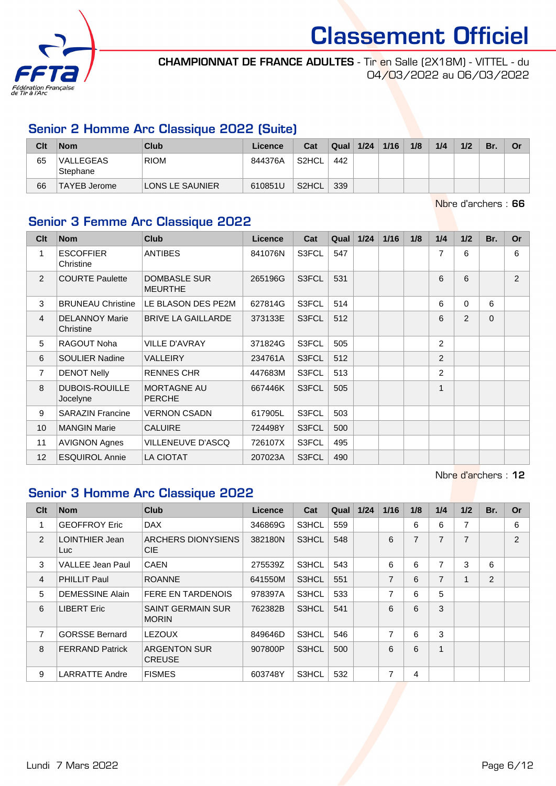

CHAMPIONNAT DE FRANCE ADULTES - Tir en Salle (2X18M) - VITTEL - du 04/03/2022 au 06/03/2022

#### Senior 2 Homme Arc Classique 2022 (Suite)

| Clt | <b>Nom</b>                   | Club            | Licence | Cat   | Qual | 1/24 | 1/16 | 1/8 | 1/4 | 1/2 | Br. | Or |
|-----|------------------------------|-----------------|---------|-------|------|------|------|-----|-----|-----|-----|----|
| 65  | <b>VALLEGEAS</b><br>Stephane | <b>RIOM</b>     | 844376A | S2HCL | 442  |      |      |     |     |     |     |    |
| 66  | TAYEB Jerome                 | LONS LE SAUNIER | 610851U | S2HCL | 339  |      |      |     |     |     |     |    |

Nbre d'archers : 66

#### Senior 3 Femme Arc Classique 2022

| Clt             | <b>Nom</b>                         | <b>Club</b>                           | <b>Licence</b> | Cat   | Qual | 1/24 | 1/16 | 1/8 | 1/4            | 1/2      | Br.      | <b>Or</b> |
|-----------------|------------------------------------|---------------------------------------|----------------|-------|------|------|------|-----|----------------|----------|----------|-----------|
| 1               | <b>ESCOFFIER</b><br>Christine      | <b>ANTIBES</b>                        | 841076N        | S3FCL | 547  |      |      |     | 7              | 6        |          | 6         |
| 2               | <b>COURTE Paulette</b>             | <b>DOMBASLE SUR</b><br><b>MEURTHE</b> | 265196G        | S3FCL | 531  |      |      |     | 6              | 6        |          | 2         |
| 3               | <b>BRUNEAU Christine</b>           | LE BLASON DES PE2M                    | 627814G        | S3FCL | 514  |      |      |     | 6              | $\Omega$ | 6        |           |
| $\overline{4}$  | <b>DELANNOY Marie</b><br>Christine | <b>BRIVE LA GAILLARDE</b>             | 373133E        | S3FCL | 512  |      |      |     | 6              | 2        | $\Omega$ |           |
| 5               | RAGOUT Noha                        | <b>VILLE D'AVRAY</b>                  | 371824G        | S3FCL | 505  |      |      |     | 2              |          |          |           |
| 6               | <b>SOULIER Nadine</b>              | <b>VALLEIRY</b>                       | 234761A        | S3FCL | 512  |      |      |     | $\overline{2}$ |          |          |           |
| $\overline{7}$  | <b>DENOT Nelly</b>                 | <b>RENNES CHR</b>                     | 447683M        | S3FCL | 513  |      |      |     | 2              |          |          |           |
| 8               | <b>DUBOIS-ROUILLE</b><br>Jocelyne  | <b>MORTAGNE AU</b><br><b>PERCHE</b>   | 667446K        | S3FCL | 505  |      |      |     | 1              |          |          |           |
| 9               | <b>SARAZIN Francine</b>            | <b>VERNON CSADN</b>                   | 617905L        | S3FCL | 503  |      |      |     |                |          |          |           |
| 10 <sup>1</sup> | <b>MANGIN Marie</b>                | <b>CALUIRE</b>                        | 724498Y        | S3FCL | 500  |      |      |     |                |          |          |           |
| 11              | <b>AVIGNON Agnes</b>               | <b>VILLENEUVE D'ASCQ</b>              | 726107X        | S3FCL | 495  |      |      |     |                |          |          |           |
| 12              | <b>ESQUIROL Annie</b>              | <b>LA CIOTAT</b>                      | 207023A        | S3FCL | 490  |      |      |     |                |          |          |           |

Nbre d'archers : 12

#### Senior 3 Homme Arc Classique 2022

| Clt            | <b>Nom</b>              | <b>Club</b>                              | <b>Licence</b> | Cat   | Qual | 1/24 | 1/16 | 1/8            | 1/4            | 1/2            | Br.            | <b>Or</b>      |
|----------------|-------------------------|------------------------------------------|----------------|-------|------|------|------|----------------|----------------|----------------|----------------|----------------|
| 1              | <b>GEOFFROY Eric</b>    | <b>DAX</b>                               | 346869G        | S3HCL | 559  |      |      | 6              | 6              | 7              |                | 6              |
| 2              | LOINTHIER Jean<br>Luc:  | ARCHERS DIONYSIENS<br><b>CIE</b>         | 382180N        | S3HCL | 548  |      | 6    | $\overline{7}$ | 7              | $\overline{7}$ |                | $\overline{2}$ |
| 3              | <b>VALLEE Jean Paul</b> | <b>CAEN</b>                              | 275539Z        | S3HCL | 543  |      | 6    | 6              | 7              | 3              | 6              |                |
| 4              | <b>PHILLIT Paul</b>     | <b>ROANNE</b>                            | 641550M        | S3HCL | 551  |      | 7    | 6              | $\overline{7}$ | 1              | $\overline{2}$ |                |
| 5              | <b>DEMESSINE Alain</b>  | <b>FERE EN TARDENOIS</b>                 | 978397A        | S3HCL | 533  |      | 7    | 6              | 5              |                |                |                |
| 6              | <b>LIBERT Eric</b>      | <b>SAINT GERMAIN SUR</b><br><b>MORIN</b> | 762382B        | S3HCL | 541  |      | 6    | 6              | 3              |                |                |                |
| $\overline{7}$ | <b>GORSSE Bernard</b>   | <b>LEZOUX</b>                            | 849646D        | S3HCL | 546  |      | 7    | 6              | 3              |                |                |                |
| 8              | <b>FERRAND Patrick</b>  | <b>ARGENTON SUR</b><br><b>CREUSE</b>     | 907800P        | S3HCL | 500  |      | 6    | 6              | 1              |                |                |                |
| 9              | <b>LARRATTE Andre</b>   | <b>FISMES</b>                            | 603748Y        | S3HCL | 532  |      | 7    | 4              |                |                |                |                |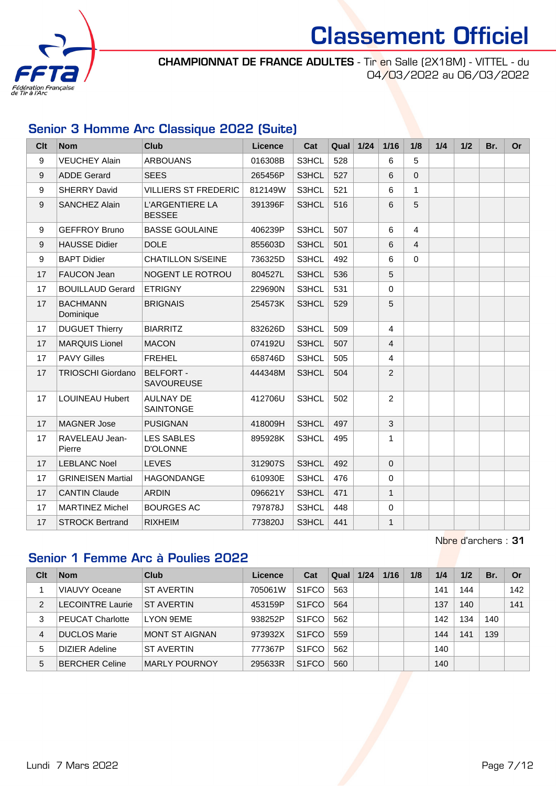

CHAMPIONNAT DE FRANCE ADULTES - Tir en Salle (2X18M) - VITTEL - du 04/03/2022 au 06/03/2022

#### Senior 3 Homme Arc Classique 2022 (Suite)

| Clt              | <b>Nom</b>                   | Club                                    | <b>Licence</b> | Cat   | Qual | 1/24 | 1/16           | 1/8      | 1/4 | 1/2 | Br. | <b>Or</b> |
|------------------|------------------------------|-----------------------------------------|----------------|-------|------|------|----------------|----------|-----|-----|-----|-----------|
| 9                | <b>VEUCHEY Alain</b>         | <b>ARBOUANS</b>                         | 016308B        | S3HCL | 528  |      | 6              | 5        |     |     |     |           |
| $\boldsymbol{9}$ | <b>ADDE Gerard</b>           | <b>SEES</b>                             | 265456P        | S3HCL | 527  |      | 6              | 0        |     |     |     |           |
| 9                | <b>SHERRY David</b>          | <b>VILLIERS ST FREDERIC</b>             | 812149W        | S3HCL | 521  |      | 6              | 1        |     |     |     |           |
| 9                | <b>SANCHEZ Alain</b>         | <b>L'ARGENTIERE LA</b><br><b>BESSEE</b> | 391396F        | S3HCL | 516  |      | 6              | 5        |     |     |     |           |
| 9                | <b>GEFFROY Bruno</b>         | <b>BASSE GOULAINE</b>                   | 406239P        | S3HCL | 507  |      | 6              | 4        |     |     |     |           |
| $\boldsymbol{9}$ | <b>HAUSSE Didier</b>         | <b>DOLE</b>                             | 855603D        | S3HCL | 501  |      | 6              | 4        |     |     |     |           |
| 9                | <b>BAPT Didier</b>           | <b>CHATILLON S/SEINE</b>                | 736325D        | S3HCL | 492  |      | 6              | $\Omega$ |     |     |     |           |
| 17               | <b>FAUCON Jean</b>           | NOGENT LE ROTROU                        | 804527L        | S3HCL | 536  |      | 5              |          |     |     |     |           |
| 17               | <b>BOUILLAUD Gerard</b>      | <b>ETRIGNY</b>                          | 229690N        | S3HCL | 531  |      | 0              |          |     |     |     |           |
| 17               | <b>BACHMANN</b><br>Dominique | <b>BRIGNAIS</b>                         | 254573K        | S3HCL | 529  |      | 5              |          |     |     |     |           |
| 17               | <b>DUGUET Thierry</b>        | <b>BIARRITZ</b>                         | 832626D        | S3HCL | 509  |      | 4              |          |     |     |     |           |
| 17               | <b>MARQUIS Lionel</b>        | <b>MACON</b>                            | 074192U        | S3HCL | 507  |      | $\overline{4}$ |          |     |     |     |           |
| 17               | <b>PAVY Gilles</b>           | <b>FREHEL</b>                           | 658746D        | S3HCL | 505  |      | 4              |          |     |     |     |           |
| 17               | <b>TRIOSCHI Giordano</b>     | <b>BELFORT -</b><br><b>SAVOUREUSE</b>   | 444348M        | S3HCL | 504  |      | $\overline{2}$ |          |     |     |     |           |
| 17               | <b>LOUINEAU Hubert</b>       | <b>AULNAY DE</b><br><b>SAINTONGE</b>    | 412706U        | S3HCL | 502  |      | $\overline{2}$ |          |     |     |     |           |
| 17               | <b>MAGNER Jose</b>           | <b>PUSIGNAN</b>                         | 418009H        | S3HCL | 497  |      | 3              |          |     |     |     |           |
| 17               | RAVELEAU Jean-<br>Pierre     | <b>LES SABLES</b><br>D'OLONNE           | 895928K        | S3HCL | 495  |      | $\mathbf{1}$   |          |     |     |     |           |
| 17               | <b>LEBLANC Noel</b>          | <b>LEVES</b>                            | 312907S        | S3HCL | 492  |      | 0              |          |     |     |     |           |
| 17               | <b>GRINEISEN Martial</b>     | <b>HAGONDANGE</b>                       | 610930E        | S3HCL | 476  |      | 0              |          |     |     |     |           |
| 17               | <b>CANTIN Claude</b>         | <b>ARDIN</b>                            | 096621Y        | S3HCL | 471  |      | 1              |          |     |     |     |           |
| 17               | <b>MARTINEZ Michel</b>       | <b>BOURGES AC</b>                       | 797878J        | S3HCL | 448  |      | 0              |          |     |     |     |           |
| 17               | <b>STROCK Bertrand</b>       | <b>RIXHEIM</b>                          | 773820J        | S3HCL | 441  |      | $\mathbf{1}$   |          |     |     |     |           |

Nbre d'archers : 31

#### Senior 1 Femme Arc à Poulies 2022

| Clt            | <b>Nom</b>              | Club                 | Licence | Cat                | Qual | 1/24 | 1/16 | 1/8 | 1/4 | 1/2 | Br. | Or  |
|----------------|-------------------------|----------------------|---------|--------------------|------|------|------|-----|-----|-----|-----|-----|
|                | VIAUVY Oceane           | <b>ST AVERTIN</b>    | 705061W | S <sub>1</sub> FCO | 563  |      |      |     | 141 | 144 |     | 142 |
| $\mathfrak{p}$ | <b>LECOINTRE Laurie</b> | <b>ST AVERTIN</b>    | 453159P | S <sub>1</sub> FCO | 564  |      |      |     | 137 | 140 |     | 141 |
| 3              | <b>PEUCAT Charlotte</b> | LYON 9EME            | 938252P | S <sub>1</sub> FCO | 562  |      |      |     | 142 | 134 | 140 |     |
| 4              | <b>DUCLOS Marie</b>     | MONT ST AIGNAN       | 973932X | S <sub>1</sub> FCO | 559  |      |      |     | 144 | 141 | 139 |     |
| 5              | <b>DIZIER Adeline</b>   | <b>ST AVERTIN</b>    | 777367P | S <sub>1</sub> FCO | 562  |      |      |     | 140 |     |     |     |
| 5              | <b>BERCHER Celine</b>   | <b>MARLY POURNOY</b> | 295633R | S <sub>1</sub> FCO | 560  |      |      |     | 140 |     |     |     |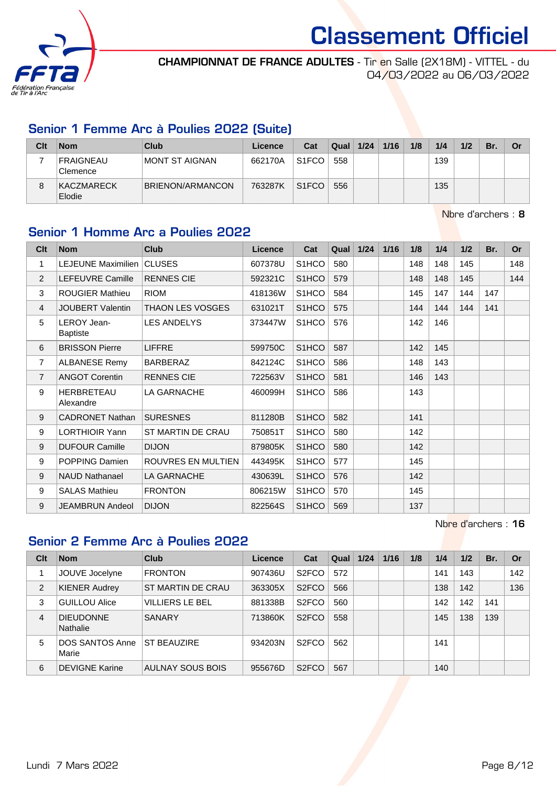

CHAMPIONNAT DE FRANCE ADULTES - Tir en Salle (2X18M) - VITTEL - du 04/03/2022 au 06/03/2022

#### Senior 1 Femme Arc à Poulies 2022 (Suite)

| Clt | <b>Nom</b>                   | Club             | Licence | Cat                | Qual | 1/24 | 1/16 | 1/8 | 1/4 | 1/2 | Br. | Or |
|-----|------------------------------|------------------|---------|--------------------|------|------|------|-----|-----|-----|-----|----|
|     | <b>FRAIGNEAU</b><br>Clemence | I MONT ST AIGNAN | 662170A | S <sub>1</sub> FCO | 558  |      |      |     | 139 |     |     |    |
| 8   | <b>KACZMARECK</b><br>Elodie  | BRIENON/ARMANCON | 763287K | S <sub>1</sub> FCO | 556  |      |      |     | 135 |     |     |    |

Nbre d'archers : 8

#### Senior 1 Homme Arc a Poulies 2022

| Clt            | <b>Nom</b>                     | <b>Club</b>               | Licence | Cat                | Qual | 1/24 | 1/16 | 1/8 | 1/4 | 1/2 | Br. | Or  |
|----------------|--------------------------------|---------------------------|---------|--------------------|------|------|------|-----|-----|-----|-----|-----|
| 1              | <b>LEJEUNE Maximilien</b>      | <b>CLUSES</b>             | 607378U | S1HCO              | 580  |      |      | 148 | 148 | 145 |     | 148 |
| 2              | LEFEUVRE Camille               | <b>RENNES CIE</b>         | 592321C | S <sub>1</sub> HCO | 579  |      |      | 148 | 148 | 145 |     | 144 |
| 3              | <b>ROUGIER Mathieu</b>         | <b>RIOM</b>               | 418136W | S1HCO              | 584  |      |      | 145 | 147 | 144 | 147 |     |
| 4              | <b>JOUBERT Valentin</b>        | <b>THAON LES VOSGES</b>   | 631021T | S1HCO              | 575  |      |      | 144 | 144 | 144 | 141 |     |
| 5              | LEROY Jean-<br><b>Baptiste</b> | <b>LES ANDELYS</b>        | 373447W | S1HCO              | 576  |      |      | 142 | 146 |     |     |     |
| 6              | <b>BRISSON Pierre</b>          | <b>LIFFRE</b>             | 599750C | S1HCO              | 587  |      |      | 142 | 145 |     |     |     |
| $\overline{7}$ | ALBANESE Remy                  | <b>BARBERAZ</b>           | 842124C | S1HCO              | 586  |      |      | 148 | 143 |     |     |     |
| $\overline{7}$ | <b>ANGOT Corentin</b>          | <b>RENNES CIE</b>         | 722563V | S1HCO              | 581  |      |      | 146 | 143 |     |     |     |
| 9              | <b>HERBRETEAU</b><br>Alexandre | LA GARNACHE               | 460099H | S1HCO              | 586  |      |      | 143 |     |     |     |     |
| 9              | <b>CADRONET Nathan</b>         | <b>SURESNES</b>           | 811280B | S <sub>1</sub> HCO | 582  |      |      | 141 |     |     |     |     |
| 9              | <b>LORTHIOIR Yann</b>          | ST MARTIN DE CRAU         | 750851T | S1HCO              | 580  |      |      | 142 |     |     |     |     |
| 9              | <b>DUFOUR Camille</b>          | <b>DIJON</b>              | 879805K | S1HCO              | 580  |      |      | 142 |     |     |     |     |
| 9              | <b>POPPING Damien</b>          | <b>ROUVRES EN MULTIEN</b> | 443495K | S1HCO              | 577  |      |      | 145 |     |     |     |     |
| 9              | <b>NAUD Nathanael</b>          | LA GARNACHE               | 430639L | S1HCO              | 576  |      |      | 142 |     |     |     |     |
| 9              | <b>SALAS Mathieu</b>           | <b>FRONTON</b>            | 806215W | S1HCO              | 570  |      |      | 145 |     |     |     |     |
| 9              | <b>JEAMBRUN Andeol</b>         | <b>DIJON</b>              | 822564S | S1HCO              | 569  |      |      | 137 |     |     |     |     |

Nbre d'archers : 16

#### Senior 2 Femme Arc à Poulies 2022

| Clt            | <b>Nom</b>                      | Club                   | Licence | Cat                | Qual | 1/24 | 1/16 | 1/8 | 1/4 | 1/2 | Br. | Or  |
|----------------|---------------------------------|------------------------|---------|--------------------|------|------|------|-----|-----|-----|-----|-----|
|                | JOUVE Jocelyne                  | <b>FRONTON</b>         | 907436U | S <sub>2</sub> FCO | 572  |      |      |     | 141 | 143 |     | 142 |
| $\overline{2}$ | <b>KIENER Audrey</b>            | ST MARTIN DE CRAU      | 363305X | S <sub>2</sub> FCO | 566  |      |      |     | 138 | 142 |     | 136 |
| 3              | <b>GUILLOU Alice</b>            | <b>VILLIERS LE BEL</b> | 881338B | S <sub>2</sub> FCO | 560  |      |      |     | 142 | 142 | 141 |     |
| $\overline{4}$ | <b>DIEUDONNE</b><br>Nathalie    | <b>SANARY</b>          | 713860K | S <sub>2</sub> FCO | 558  |      |      |     | 145 | 138 | 139 |     |
| 5              | <b>DOS SANTOS Anne</b><br>Marie | <b>ST BEAUZIRE</b>     | 934203N | S <sub>2</sub> FCO | 562  |      |      |     | 141 |     |     |     |
| 6              | <b>DEVIGNE Karine</b>           | AULNAY SOUS BOIS       | 955676D | S <sub>2</sub> FCO | 567  |      |      |     | 140 |     |     |     |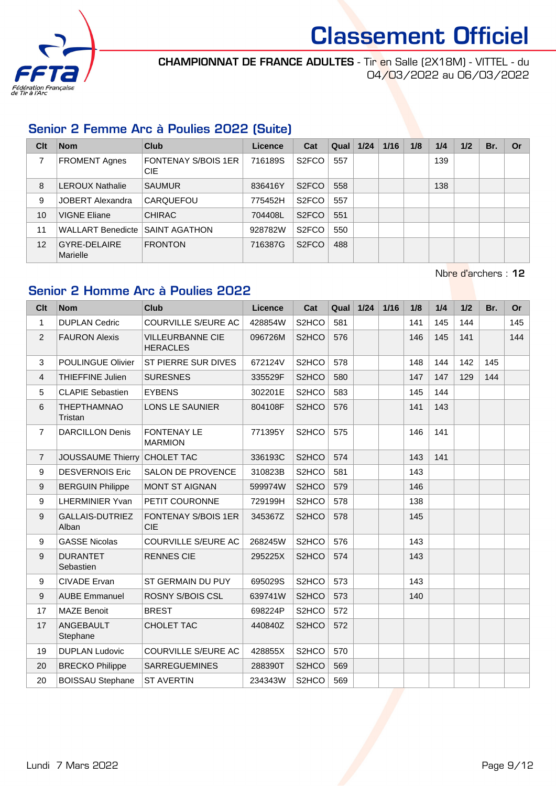

CHAMPIONNAT DE FRANCE ADULTES - Tir en Salle (2X18M) - VITTEL - du 04/03/2022 au 06/03/2022

#### Senior 2 Femme Arc à Poulies 2022 (Suite)

| Clt | <b>Nom</b>               | <b>Club</b>                       | Licence | Cat                | Qual | $1/24$ | 1/16 | 1/8 | 1/4 | 1/2 | Br. | Or |
|-----|--------------------------|-----------------------------------|---------|--------------------|------|--------|------|-----|-----|-----|-----|----|
|     | <b>FROMENT Agnes</b>     | <b>FONTENAY S/BOIS 1ER</b><br>CIE | 716189S | S <sub>2</sub> FCO | 557  |        |      |     | 139 |     |     |    |
| 8   | <b>LEROUX Nathalie</b>   | <b>SAUMUR</b>                     | 836416Y | S <sub>2</sub> FCO | 558  |        |      |     | 138 |     |     |    |
| 9   | JOBERT Alexandra         | CARQUEFOU                         | 775452H | S <sub>2</sub> FCO | 557  |        |      |     |     |     |     |    |
| 10  | <b>VIGNE Eliane</b>      | <b>CHIRAC</b>                     | 704408L | S <sub>2</sub> FCO | 551  |        |      |     |     |     |     |    |
| 11  | <b>WALLART Benedicte</b> | <b>SAINT AGATHON</b>              | 928782W | S <sub>2</sub> FCO | 550  |        |      |     |     |     |     |    |
| 12  | GYRE-DELAIRE<br>Marielle | <b>FRONTON</b>                    | 716387G | S <sub>2</sub> FCO | 488  |        |      |     |     |     |     |    |

Nbre d'archers : 12

#### Senior 2 Homme Arc à Poulies 2022

| Clt              | <b>Nom</b>                      | <b>Club</b>                                | <b>Licence</b> | Cat                | Qual 1/24 | 1/16 | 1/8 | 1/4 | 1/2 | Br. | <b>Or</b> |
|------------------|---------------------------------|--------------------------------------------|----------------|--------------------|-----------|------|-----|-----|-----|-----|-----------|
| $\mathbf{1}$     | <b>DUPLAN Cedric</b>            | COURVILLE S/EURE AC                        | 428854W        | S2HCO              | 581       |      | 141 | 145 | 144 |     | 145       |
| 2                | <b>FAURON Alexis</b>            | <b>VILLEURBANNE CIE</b><br><b>HERACLES</b> | 096726M        | S <sub>2</sub> HCO | 576       |      | 146 | 145 | 141 |     | 144       |
| 3                | POULINGUE Olivier               | ST PIERRE SUR DIVES                        | 672124V        | S2HCO              | 578       |      | 148 | 144 | 142 | 145 |           |
| $\overline{4}$   | <b>THIEFFINE Julien</b>         | <b>SURESNES</b>                            | 335529F        | S <sub>2</sub> HCO | 580       |      | 147 | 147 | 129 | 144 |           |
| 5                | <b>CLAPIE Sebastien</b>         | <b>EYBENS</b>                              | 302201E        | S2HCO              | 583       |      | 145 | 144 |     |     |           |
| 6                | <b>THEPTHAMNAO</b><br>Tristan   | LONS LE SAUNIER                            | 804108F        | S <sub>2</sub> HCO | 576       |      | 141 | 143 |     |     |           |
| $\overline{7}$   | <b>DARCILLON Denis</b>          | FONTENAY LE<br><b>MARMION</b>              | 771395Y        | S2HCO              | 575       |      | 146 | 141 |     |     |           |
| $\overline{7}$   | <b>JOUSSAUME Thierry</b>        | <b>CHOLET TAC</b>                          | 336193C        | S2HCO              | 574       |      | 143 | 141 |     |     |           |
| 9                | <b>DESVERNOIS Eric</b>          | <b>SALON DE PROVENCE</b>                   | 310823B        | S2HCO              | 581       |      | 143 |     |     |     |           |
| $\boldsymbol{9}$ | <b>BERGUIN Philippe</b>         | <b>MONT ST AIGNAN</b>                      | 599974W        | S <sub>2</sub> HCO | 579       |      | 146 |     |     |     |           |
| $\boldsymbol{9}$ | <b>LHERMINIER Yvan</b>          | PETIT COURONNE                             | 729199H        | S2HCO              | 578       |      | 138 |     |     |     |           |
| 9                | <b>GALLAIS-DUTRIEZ</b><br>Alban | <b>FONTENAY S/BOIS 1ER</b><br><b>CIE</b>   | 345367Z        | S <sub>2</sub> HCO | 578       |      | 145 |     |     |     |           |
| $\boldsymbol{9}$ | <b>GASSE Nicolas</b>            | <b>COURVILLE S/EURE AC</b>                 | 268245W        | S2HCO              | 576       |      | 143 |     |     |     |           |
| 9                | <b>DURANTET</b><br>Sebastien    | <b>RENNES CIE</b>                          | 295225X        | S <sub>2</sub> HCO | 574       |      | 143 |     |     |     |           |
| $\boldsymbol{9}$ | <b>CIVADE Ervan</b>             | ST GERMAIN DU PUY                          | 695029S        | S2HCO              | 573       |      | 143 |     |     |     |           |
| 9                | <b>AUBE Emmanuel</b>            | <b>ROSNY S/BOIS CSL</b>                    | 639741W        | S2HCO              | 573       |      | 140 |     |     |     |           |
| 17               | <b>MAZE Benoit</b>              | <b>BREST</b>                               | 698224P        | S2HCO              | 572       |      |     |     |     |     |           |
| 17               | ANGEBAULT<br>Stephane           | CHOLET TAC                                 | 440840Z        | S2HCO              | 572       |      |     |     |     |     |           |
| 19               | <b>DUPLAN Ludovic</b>           | <b>COURVILLE S/EURE AC</b>                 | 428855X        | S <sub>2</sub> HCO | 570       |      |     |     |     |     |           |
| 20               | <b>BRECKO Philippe</b>          | <b>SARREGUEMINES</b>                       | 288390T        | S2HCO              | 569       |      |     |     |     |     |           |
| 20               | <b>BOISSAU Stephane</b>         | <b>ST AVERTIN</b>                          | 234343W        | S2HCO              | 569       |      |     |     |     |     |           |
|                  |                                 |                                            |                |                    |           |      |     |     |     |     |           |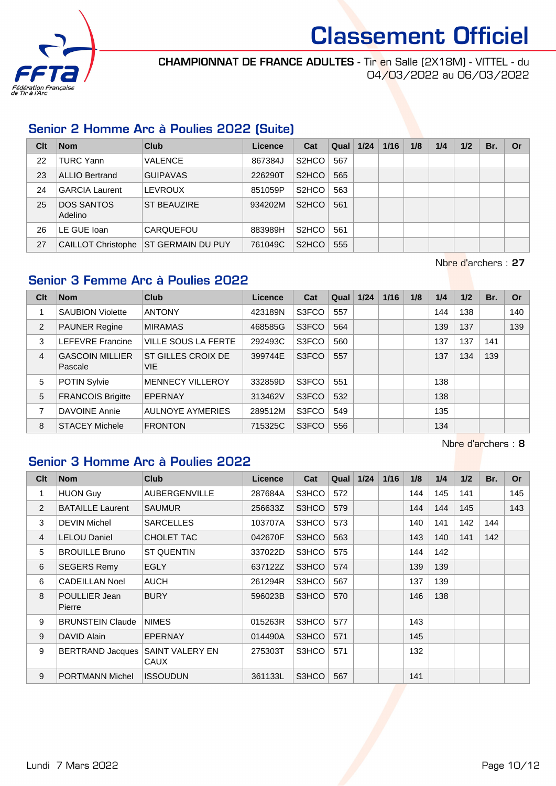

CHAMPIONNAT DE FRANCE ADULTES - Tir en Salle (2X18M) - VITTEL - du 04/03/2022 au 06/03/2022

#### Senior 2 Homme Arc à Poulies 2022 (Suite)

| Clt | <b>Nom</b>                   | Club               | Licence | Cat                            | Qual | 1/24 | 1/16 | 1/8 | 1/4 | 1/2 | Br. | Or |
|-----|------------------------------|--------------------|---------|--------------------------------|------|------|------|-----|-----|-----|-----|----|
| 22  | <b>TURC Yann</b>             | <b>VALENCE</b>     | 867384J | S <sub>2</sub> HCO             | 567  |      |      |     |     |     |     |    |
| 23  | <b>ALLIO Bertrand</b>        | <b>GUIPAVAS</b>    | 226290T | S <sub>2</sub> HCO             | 565  |      |      |     |     |     |     |    |
| 24  | <b>GARCIA Laurent</b>        | <b>LEVROUX</b>     | 851059P | S <sub>2</sub> HCO             | 563  |      |      |     |     |     |     |    |
| 25  | <b>DOS SANTOS</b><br>Adelino | <b>ST BEAUZIRE</b> | 934202M | S <sub>2</sub> HCO             | 561  |      |      |     |     |     |     |    |
| 26  | LE GUE Ioan                  | CARQUEFOU          | 883989H | S <sub>2</sub> H <sub>CO</sub> | 561  |      |      |     |     |     |     |    |
| 27  | CAILLOT Christophe           | ST GERMAIN DU PUY  | 761049C | S <sub>2</sub> HCO             | 555  |      |      |     |     |     |     |    |

Nbre d'archers : 27

#### Senior 3 Femme Arc à Poulies 2022

| Clt            | <b>Nom</b>                        | Club                                    | Licence | Cat   | Qual | 1/24 | 1/16 | 1/8 | 1/4 | 1/2 | Br. | Or  |
|----------------|-----------------------------------|-----------------------------------------|---------|-------|------|------|------|-----|-----|-----|-----|-----|
|                | <b>SAUBION Violette</b>           | <b>ANTONY</b>                           | 423189N | S3FCO | 557  |      |      |     | 144 | 138 |     | 140 |
| 2              | <b>PAUNER Regine</b>              | <b>MIRAMAS</b>                          | 468585G | S3FCO | 564  |      |      |     | 139 | 137 |     | 139 |
| 3              | <b>LEFEVRE Francine</b>           | <b>VILLE SOUS LA FERTE</b>              | 292493C | S3FCO | 560  |      |      |     | 137 | 137 | 141 |     |
| $\overline{4}$ | <b>GASCOIN MILLIER</b><br>Pascale | <b>ST GILLES CROIX DE</b><br><b>VIE</b> | 399744E | S3FCO | 557  |      |      |     | 137 | 134 | 139 |     |
| 5              | POTIN Sylvie                      | <b>MENNECY VILLEROY</b>                 | 332859D | S3FCO | 551  |      |      |     | 138 |     |     |     |
| 5              | <b>FRANCOIS Brigitte</b>          | <b>EPERNAY</b>                          | 313462V | S3FCO | 532  |      |      |     | 138 |     |     |     |
| 7              | DAVOINE Annie                     | <b>AULNOYE AYMERIES</b>                 | 289512M | S3FCO | 549  |      |      |     | 135 |     |     |     |
| 8              | <b>STACEY Michele</b>             | <b>FRONTON</b>                          | 715325C | S3FCO | 556  |      |      |     | 134 |     |     |     |

Nbre d'archers : 8

### Senior 3 Homme Arc à Poulies 2022

| Clt            | <b>Nom</b>              | <b>Club</b>                    | Licence | Cat          | Qual | 1/24 | 1/16 | 1/8 | 1/4 | 1/2 | Br. | <b>Or</b> |
|----------------|-------------------------|--------------------------------|---------|--------------|------|------|------|-----|-----|-----|-----|-----------|
| 1              | <b>HUON Guy</b>         | <b>AUBERGENVILLE</b>           | 287684A | S3HCO        | 572  |      |      | 144 | 145 | 141 |     | 145       |
| 2              | <b>BATAILLE Laurent</b> | <b>SAUMUR</b>                  | 256633Z | S3HCO        | 579  |      |      | 144 | 144 | 145 |     | 143       |
| 3              | <b>DEVIN Michel</b>     | <b>SARCELLES</b>               | 103707A | S3HCO        | 573  |      |      | 140 | 141 | 142 | 144 |           |
| $\overline{4}$ | <b>LELOU Daniel</b>     | CHOLET TAC                     | 042670F | S3HCO        | 563  |      |      | 143 | 140 | 141 | 142 |           |
| 5              | <b>BROUILLE Bruno</b>   | <b>ST QUENTIN</b>              | 337022D | S3HCO        | 575  |      |      | 144 | 142 |     |     |           |
| 6              | <b>SEGERS Remy</b>      | <b>EGLY</b>                    | 637122Z | S3HCO        | 574  |      |      | 139 | 139 |     |     |           |
| 6              | <b>CADEILLAN Noel</b>   | <b>AUCH</b>                    | 261294R | S3HCO        | 567  |      |      | 137 | 139 |     |     |           |
| 8              | POULLIER Jean<br>Pierre | <b>BURY</b>                    | 596023B | S3HCO        | 570  |      |      | 146 | 138 |     |     |           |
| 9              | <b>BRUNSTEIN Claude</b> | <b>NIMES</b>                   | 015263R | <b>S3HCO</b> | 577  |      |      | 143 |     |     |     |           |
| 9              | DAVID Alain             | EPERNAY                        | 014490A | S3HCO        | 571  |      |      | 145 |     |     |     |           |
| 9              | <b>BERTRAND Jacques</b> | <b>SAINT VALERY EN</b><br>CAUX | 275303T | S3HCO        | 571  |      |      | 132 |     |     |     |           |
| 9              | <b>PORTMANN Michel</b>  | <b>ISSOUDUN</b>                | 361133L | S3HCO        | 567  |      |      | 141 |     |     |     |           |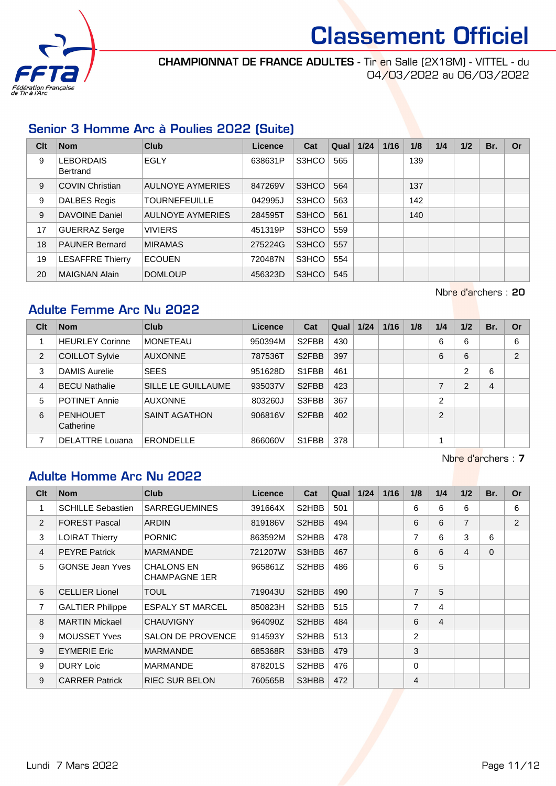

CHAMPIONNAT DE FRANCE ADULTES - Tir en Salle (2X18M) - VITTEL - du 04/03/2022 au 06/03/2022

#### Senior 3 Homme Arc à Poulies 2022 (Suite)

| Clt | <b>Nom</b>                          | <b>Club</b>             | Licence | Cat   | Qual | 1/24 | 1/16 | 1/8 | 1/4 | 1/2 | Br. | Or |
|-----|-------------------------------------|-------------------------|---------|-------|------|------|------|-----|-----|-----|-----|----|
| 9   | <b>LEBORDAIS</b><br><b>Bertrand</b> | <b>EGLY</b>             | 638631P | S3HCO | 565  |      |      | 139 |     |     |     |    |
| 9   | <b>COVIN Christian</b>              | <b>AULNOYE AYMERIES</b> | 847269V | S3HCO | 564  |      |      | 137 |     |     |     |    |
| 9   | <b>DALBES Regis</b>                 | <b>TOURNEFEUILLE</b>    | 042995J | S3HCO | 563  |      |      | 142 |     |     |     |    |
| 9   | <b>DAVOINE Daniel</b>               | <b>AULNOYE AYMERIES</b> | 284595T | S3HCO | 561  |      |      | 140 |     |     |     |    |
| 17  | <b>GUERRAZ Serge</b>                | <b>VIVIERS</b>          | 451319P | S3HCO | 559  |      |      |     |     |     |     |    |
| 18  | <b>PAUNER Bernard</b>               | <b>MIRAMAS</b>          | 275224G | S3HCO | 557  |      |      |     |     |     |     |    |
| 19  | <b>LESAFFRE Thierry</b>             | <b>ECOUEN</b>           | 720487N | S3HCO | 554  |      |      |     |     |     |     |    |
| 20  | <b>MAIGNAN Alain</b>                | <b>DOMLOUP</b>          | 456323D | S3HCO | 545  |      |      |     |     |     |     |    |

#### Nbre d'archers : 20

#### Adulte Femme Arc Nu 2022

| Clt | <b>Nom</b>                   | Club               | <b>Licence</b> | Cat                | Qual | 1/24 | 1/16 | 1/8 | 1/4            | 1/2            | Br. | Or             |
|-----|------------------------------|--------------------|----------------|--------------------|------|------|------|-----|----------------|----------------|-----|----------------|
|     | <b>HEURLEY Corinne</b>       | <b>MONETEAU</b>    | 950394M        | S <sub>2</sub> FBB | 430  |      |      |     | 6              | 6              |     | 6              |
| 2   | <b>COILLOT Sylvie</b>        | <b>AUXONNE</b>     | 787536T        | S <sub>2</sub> FBB | 397  |      |      |     | 6              | 6              |     | $\overline{2}$ |
| 3   | DAMIS Aurelie                | <b>SEES</b>        | 951628D        | S1FBB              | 461  |      |      |     |                | $\overline{2}$ | 6   |                |
| 4   | <b>BECU Nathalie</b>         | SILLE LE GUILLAUME | 935037V        | S <sub>2</sub> FBB | 423  |      |      |     | 7              | $\overline{2}$ | 4   |                |
| 5   | <b>POTINET Annie</b>         | <b>AUXONNE</b>     | 803260J        | S3FBB              | 367  |      |      |     | $\overline{2}$ |                |     |                |
| 6   | <b>PENHOUET</b><br>Catherine | SAINT AGATHON      | 906816V        | S <sub>2</sub> FBB | 402  |      |      |     | $\overline{2}$ |                |     |                |
|     | <b>DELATTRE Louana</b>       | ERONDELLE          | 866060V        | S1FBB              | 378  |      |      |     |                |                |     |                |

Nbre d'archers : 7

#### Adulte Homme Arc Nu 2022

| Clt            | <b>Nom</b>               | <b>Club</b>                               | <b>Licence</b> | Cat                             | Qual | 1/24 | 1/16 | 1/8            | 1/4            | 1/2            | Br.      | <b>Or</b>      |
|----------------|--------------------------|-------------------------------------------|----------------|---------------------------------|------|------|------|----------------|----------------|----------------|----------|----------------|
| 1              | <b>SCHILLE Sebastien</b> | <b>SARREGUEMINES</b>                      | 391664X        | S <sub>2</sub> H <sub>B</sub> B | 501  |      |      | 6              | 6              | 6              |          | 6              |
| 2              | <b>FOREST Pascal</b>     | <b>ARDIN</b>                              | 819186V        | S <sub>2</sub> H <sub>B</sub> B | 494  |      |      | 6              | 6              | $\overline{7}$ |          | $\overline{2}$ |
| 3              | <b>LOIRAT Thierry</b>    | <b>PORNIC</b>                             | 863592M        | S <sub>2</sub> H <sub>B</sub> B | 478  |      |      | 7              | 6              | 3              | 6        |                |
| $\overline{4}$ | <b>PEYRE Patrick</b>     | <b>MARMANDE</b>                           | 721207W        | S3HBB                           | 467  |      |      | 6              | 6              | $\overline{4}$ | $\Omega$ |                |
| 5              | <b>GONSE Jean Yves</b>   | <b>CHALONS EN</b><br><b>CHAMPAGNE 1ER</b> | 965861Z        | S <sub>2</sub> H <sub>B</sub> B | 486  |      |      | 6              | 5              |                |          |                |
| 6              | <b>CELLIER Lionel</b>    | <b>TOUL</b>                               | 719043U        | S2HBB                           | 490  |      |      | $\overline{7}$ | 5              |                |          |                |
| $\overline{7}$ | <b>GALTIER Philippe</b>  | <b>ESPALY ST MARCEL</b>                   | 850823H        | S <sub>2</sub> H <sub>B</sub> B | 515  |      |      | 7              | 4              |                |          |                |
| 8              | <b>MARTIN Mickael</b>    | <b>CHAUVIGNY</b>                          | 964090Z        | S <sub>2</sub> H <sub>B</sub> B | 484  |      |      | 6              | $\overline{4}$ |                |          |                |
| 9              | <b>MOUSSET Yves</b>      | SALON DE PROVENCE                         | 914593Y        | S2HBB                           | 513  |      |      | 2              |                |                |          |                |
| 9              | <b>EYMERIE Eric</b>      | <b>MARMANDE</b>                           | 685368R        | S3HBB                           | 479  |      |      | 3              |                |                |          |                |
| 9              | <b>DURY Loic</b>         | <b>MARMANDE</b>                           | 878201S        | S2HBB                           | 476  |      |      | $\mathbf{0}$   |                |                |          |                |
| 9              | <b>CARRER Patrick</b>    | <b>RIEC SUR BELON</b>                     | 760565B        | S3HBB                           | 472  |      |      | 4              |                |                |          |                |